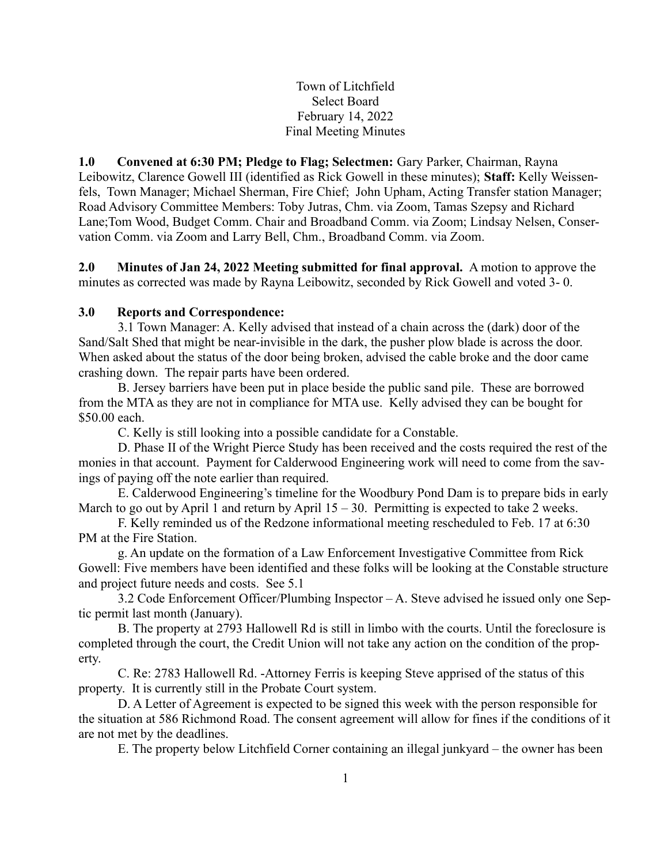Town of Litchfield Select Board February 14, 2022 Final Meeting Minutes

1.0 Convened at 6:30 PM; Pledge to Flag; Selectmen: Gary Parker, Chairman, Rayna Leibowitz, Clarence Gowell III (identified as Rick Gowell in these minutes); Staff: Kelly Weissenfels, Town Manager; Michael Sherman, Fire Chief; John Upham, Acting Transfer station Manager; Road Advisory Committee Members: Toby Jutras, Chm. via Zoom, Tamas Szepsy and Richard Lane;Tom Wood, Budget Comm. Chair and Broadband Comm. via Zoom; Lindsay Nelsen, Conservation Comm. via Zoom and Larry Bell, Chm., Broadband Comm. via Zoom.

2.0 Minutes of Jan 24, 2022 Meeting submitted for final approval. A motion to approve the minutes as corrected was made by Rayna Leibowitz, seconded by Rick Gowell and voted 3- 0.

# 3.0 Reports and Correspondence:

3.1 Town Manager: A. Kelly advised that instead of a chain across the (dark) door of the Sand/Salt Shed that might be near-invisible in the dark, the pusher plow blade is across the door. When asked about the status of the door being broken, advised the cable broke and the door came crashing down. The repair parts have been ordered.

B. Jersey barriers have been put in place beside the public sand pile. These are borrowed from the MTA as they are not in compliance for MTA use. Kelly advised they can be bought for \$50.00 each.

C. Kelly is still looking into a possible candidate for a Constable.

D. Phase II of the Wright Pierce Study has been received and the costs required the rest of the monies in that account. Payment for Calderwood Engineering work will need to come from the savings of paying off the note earlier than required.

E. Calderwood Engineering's timeline for the Woodbury Pond Dam is to prepare bids in early March to go out by April 1 and return by April  $15 - 30$ . Permitting is expected to take 2 weeks.

F. Kelly reminded us of the Redzone informational meeting rescheduled to Feb. 17 at 6:30 PM at the Fire Station.

g. An update on the formation of a Law Enforcement Investigative Committee from Rick Gowell: Five members have been identified and these folks will be looking at the Constable structure and project future needs and costs. See 5.1

3.2 Code Enforcement Officer/Plumbing Inspector – A. Steve advised he issued only one Septic permit last month (January).

B. The property at 2793 Hallowell Rd is still in limbo with the courts. Until the foreclosure is completed through the court, the Credit Union will not take any action on the condition of the property.

C. Re: 2783 Hallowell Rd. -Attorney Ferris is keeping Steve apprised of the status of this property. It is currently still in the Probate Court system.

D. A Letter of Agreement is expected to be signed this week with the person responsible for the situation at 586 Richmond Road. The consent agreement will allow for fines if the conditions of it are not met by the deadlines.

E. The property below Litchfield Corner containing an illegal junkyard – the owner has been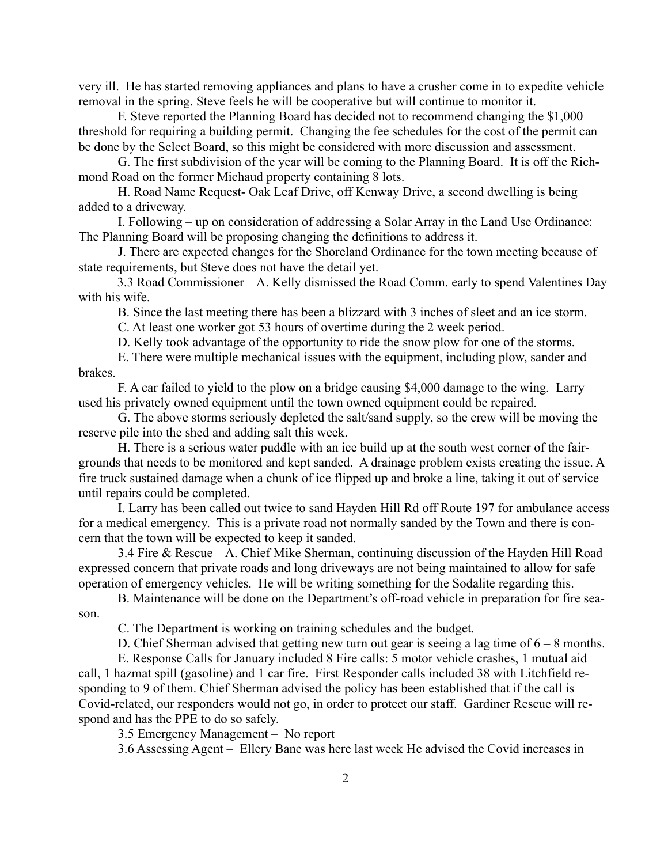very ill. He has started removing appliances and plans to have a crusher come in to expedite vehicle removal in the spring. Steve feels he will be cooperative but will continue to monitor it.

F. Steve reported the Planning Board has decided not to recommend changing the \$1,000 threshold for requiring a building permit. Changing the fee schedules for the cost of the permit can be done by the Select Board, so this might be considered with more discussion and assessment.

G. The first subdivision of the year will be coming to the Planning Board. It is off the Richmond Road on the former Michaud property containing 8 lots.

H. Road Name Request- Oak Leaf Drive, off Kenway Drive, a second dwelling is being added to a driveway.

I. Following – up on consideration of addressing a Solar Array in the Land Use Ordinance: The Planning Board will be proposing changing the definitions to address it.

J. There are expected changes for the Shoreland Ordinance for the town meeting because of state requirements, but Steve does not have the detail yet.

 3.3 Road Commissioner – A. Kelly dismissed the Road Comm. early to spend Valentines Day with his wife.

B. Since the last meeting there has been a blizzard with 3 inches of sleet and an ice storm.

C. At least one worker got 53 hours of overtime during the 2 week period.

D. Kelly took advantage of the opportunity to ride the snow plow for one of the storms.

E. There were multiple mechanical issues with the equipment, including plow, sander and brakes.

F. A car failed to yield to the plow on a bridge causing \$4,000 damage to the wing. Larry used his privately owned equipment until the town owned equipment could be repaired.

G. The above storms seriously depleted the salt/sand supply, so the crew will be moving the reserve pile into the shed and adding salt this week.

H. There is a serious water puddle with an ice build up at the south west corner of the fairgrounds that needs to be monitored and kept sanded. A drainage problem exists creating the issue. A fire truck sustained damage when a chunk of ice flipped up and broke a line, taking it out of service until repairs could be completed.

I. Larry has been called out twice to sand Hayden Hill Rd off Route 197 for ambulance access for a medical emergency. This is a private road not normally sanded by the Town and there is concern that the town will be expected to keep it sanded.

3.4 Fire & Rescue – A. Chief Mike Sherman, continuing discussion of the Hayden Hill Road expressed concern that private roads and long driveways are not being maintained to allow for safe operation of emergency vehicles. He will be writing something for the Sodalite regarding this.

B. Maintenance will be done on the Department's off-road vehicle in preparation for fire season.

C. The Department is working on training schedules and the budget.

D. Chief Sherman advised that getting new turn out gear is seeing a lag time of  $6 - 8$  months.

E. Response Calls for January included 8 Fire calls: 5 motor vehicle crashes, 1 mutual aid call, 1 hazmat spill (gasoline) and 1 car fire. First Responder calls included 38 with Litchfield responding to 9 of them. Chief Sherman advised the policy has been established that if the call is Covid-related, our responders would not go, in order to protect our staff. Gardiner Rescue will respond and has the PPE to do so safely.

3.5 Emergency Management – No report

3.6 Assessing Agent – Ellery Bane was here last week He advised the Covid increases in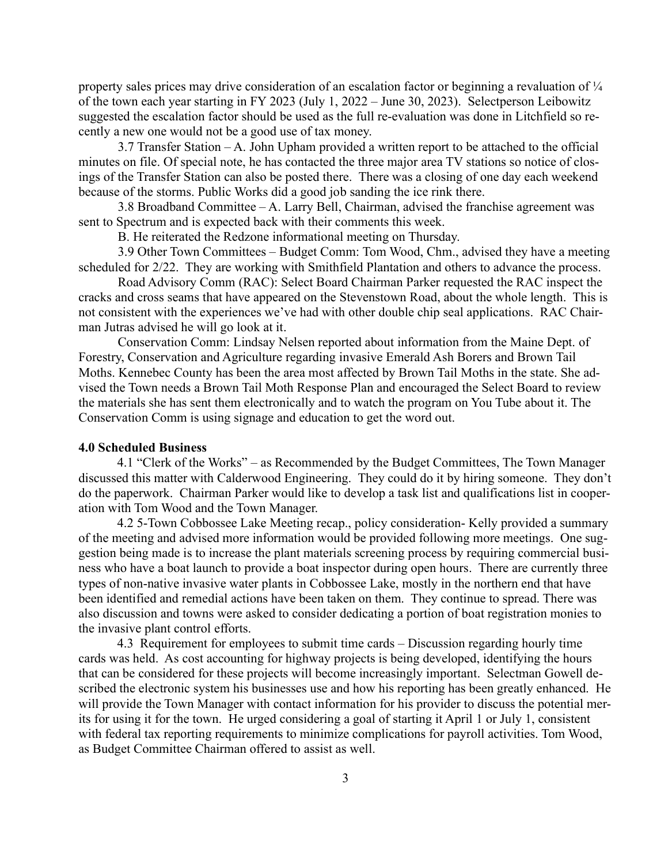property sales prices may drive consideration of an escalation factor or beginning a revaluation of  $\frac{1}{4}$ of the town each year starting in FY 2023 (July 1, 2022 – June 30, 2023). Selectperson Leibowitz suggested the escalation factor should be used as the full re-evaluation was done in Litchfield so recently a new one would not be a good use of tax money.

3.7 Transfer Station – A. John Upham provided a written report to be attached to the official minutes on file. Of special note, he has contacted the three major area TV stations so notice of closings of the Transfer Station can also be posted there. There was a closing of one day each weekend because of the storms. Public Works did a good job sanding the ice rink there.

3.8 Broadband Committee – A. Larry Bell, Chairman, advised the franchise agreement was sent to Spectrum and is expected back with their comments this week.

B. He reiterated the Redzone informational meeting on Thursday.

3.9 Other Town Committees – Budget Comm: Tom Wood, Chm., advised they have a meeting scheduled for 2/22. They are working with Smithfield Plantation and others to advance the process.

Road Advisory Comm (RAC): Select Board Chairman Parker requested the RAC inspect the cracks and cross seams that have appeared on the Stevenstown Road, about the whole length. This is not consistent with the experiences we've had with other double chip seal applications. RAC Chairman Jutras advised he will go look at it.

Conservation Comm: Lindsay Nelsen reported about information from the Maine Dept. of Forestry, Conservation and Agriculture regarding invasive Emerald Ash Borers and Brown Tail Moths. Kennebec County has been the area most affected by Brown Tail Moths in the state. She advised the Town needs a Brown Tail Moth Response Plan and encouraged the Select Board to review the materials she has sent them electronically and to watch the program on You Tube about it. The Conservation Comm is using signage and education to get the word out.

#### 4.0 Scheduled Business

 4.1 "Clerk of the Works" – as Recommended by the Budget Committees, The Town Manager discussed this matter with Calderwood Engineering. They could do it by hiring someone. They don't do the paperwork. Chairman Parker would like to develop a task list and qualifications list in cooperation with Tom Wood and the Town Manager.

 4.2 5-Town Cobbossee Lake Meeting recap., policy consideration- Kelly provided a summary of the meeting and advised more information would be provided following more meetings. One suggestion being made is to increase the plant materials screening process by requiring commercial business who have a boat launch to provide a boat inspector during open hours. There are currently three types of non-native invasive water plants in Cobbossee Lake, mostly in the northern end that have been identified and remedial actions have been taken on them. They continue to spread. There was also discussion and towns were asked to consider dedicating a portion of boat registration monies to the invasive plant control efforts.

 4.3 Requirement for employees to submit time cards – Discussion regarding hourly time cards was held. As cost accounting for highway projects is being developed, identifying the hours that can be considered for these projects will become increasingly important. Selectman Gowell described the electronic system his businesses use and how his reporting has been greatly enhanced. He will provide the Town Manager with contact information for his provider to discuss the potential merits for using it for the town. He urged considering a goal of starting it April 1 or July 1, consistent with federal tax reporting requirements to minimize complications for payroll activities. Tom Wood, as Budget Committee Chairman offered to assist as well.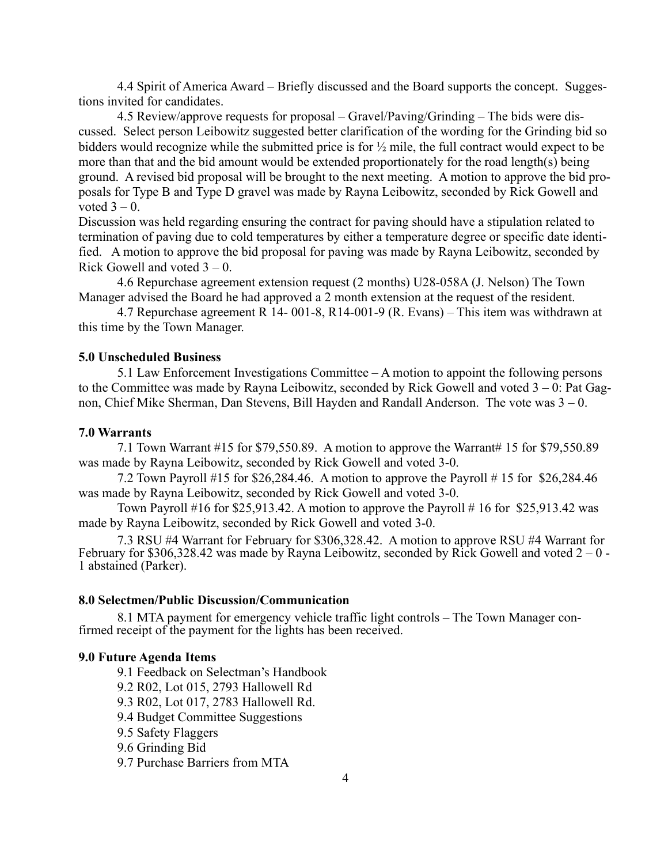4.4 Spirit of America Award – Briefly discussed and the Board supports the concept. Suggestions invited for candidates.

 4.5 Review/approve requests for proposal – Gravel/Paving/Grinding – The bids were discussed. Select person Leibowitz suggested better clarification of the wording for the Grinding bid so bidders would recognize while the submitted price is for  $\frac{1}{2}$  mile, the full contract would expect to be more than that and the bid amount would be extended proportionately for the road length(s) being ground. A revised bid proposal will be brought to the next meeting. A motion to approve the bid proposals for Type B and Type D gravel was made by Rayna Leibowitz, seconded by Rick Gowell and voted  $3 - 0$ .

Discussion was held regarding ensuring the contract for paving should have a stipulation related to termination of paving due to cold temperatures by either a temperature degree or specific date identified. A motion to approve the bid proposal for paving was made by Rayna Leibowitz, seconded by Rick Gowell and voted  $3 - 0$ .

 4.6 Repurchase agreement extension request (2 months) U28-058A (J. Nelson) The Town Manager advised the Board he had approved a 2 month extension at the request of the resident.

 4.7 Repurchase agreement R 14- 001-8, R14-001-9 (R. Evans) – This item was withdrawn at this time by the Town Manager.

#### 5.0 Unscheduled Business

 5.1 Law Enforcement Investigations Committee – A motion to appoint the following persons to the Committee was made by Rayna Leibowitz, seconded by Rick Gowell and voted  $3 - 0$ : Pat Gagnon, Chief Mike Sherman, Dan Stevens, Bill Hayden and Randall Anderson. The vote was 3 – 0.

#### 7.0 Warrants

 7.1 Town Warrant #15 for \$79,550.89. A motion to approve the Warrant# 15 for \$79,550.89 was made by Rayna Leibowitz, seconded by Rick Gowell and voted 3-0.

 7.2 Town Payroll #15 for \$26,284.46. A motion to approve the Payroll # 15 for \$26,284.46 was made by Rayna Leibowitz, seconded by Rick Gowell and voted 3-0.

Town Payroll #16 for \$25,913.42. A motion to approve the Payroll #16 for \$25,913.42 was made by Rayna Leibowitz, seconded by Rick Gowell and voted 3-0.

 7.3 RSU #4 Warrant for February for \$306,328.42. A motion to approve RSU #4 Warrant for February for \$306,328.42 was made by Rayna Leibowitz, seconded by Rick Gowell and voted  $2 - 0$  -1 abstained (Parker).

## 8.0 Selectmen/Public Discussion/Communication

 8.1 MTA payment for emergency vehicle traffic light controls – The Town Manager confirmed receipt of the payment for the lights has been received.

## 9.0 Future Agenda Items

 9.1 Feedback on Selectman's Handbook 9.2 R02, Lot 015, 2793 Hallowell Rd 9.3 R02, Lot 017, 2783 Hallowell Rd. 9.4 Budget Committee Suggestions 9.5 Safety Flaggers 9.6 Grinding Bid 9.7 Purchase Barriers from MTA